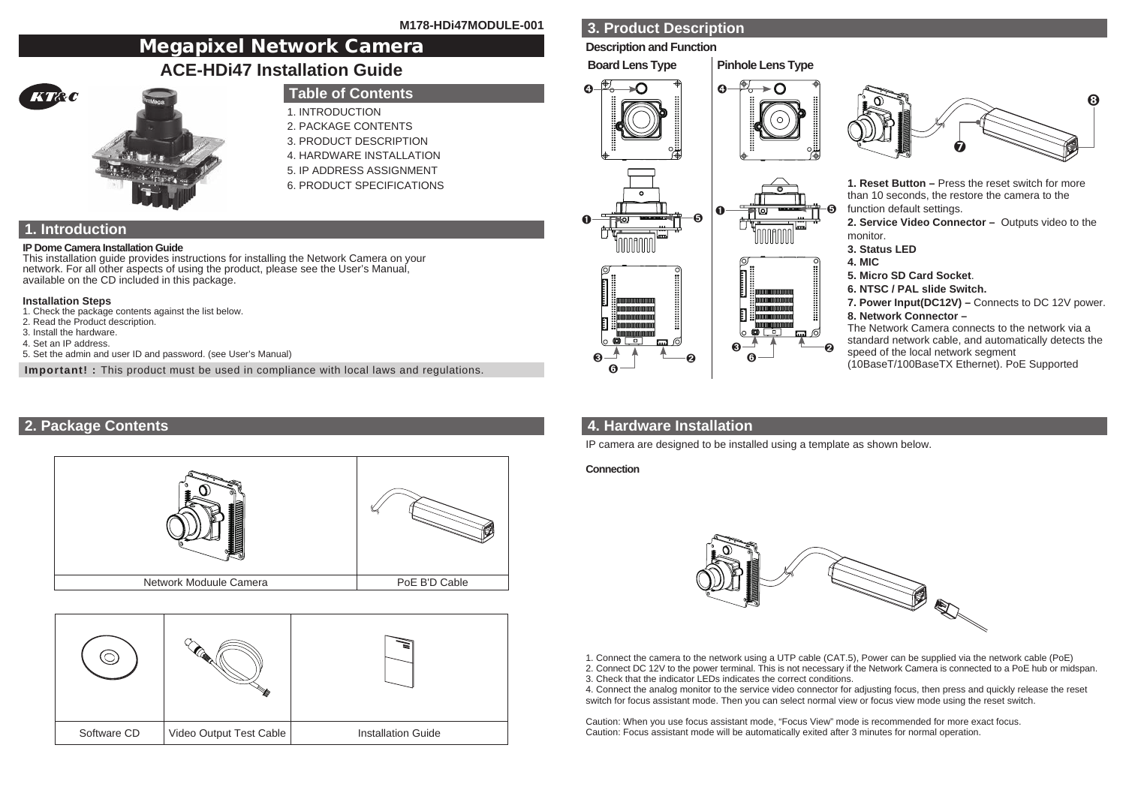# Megapixel Network Camera

## **ACE-HDi47 Installation Guide**



## **Table of Contents**

- 1. INTRODUCTION
- 2. PACKAGE CONTENTS
- 3. PRODUCT DESCRIPTION
- 4. HARDWARE INSTALLATION
- 5. IP ADDRESS ASSIGNMENT
- 6. PRODUCT SPECIFICATIONS

## **1. Introduction**

#### **IP Dome Camera Installation Guide**

This installation guide provides instructions for installing the Network Camera on your network. For all other aspects of using the product, please see the User's Manual, available on the CD included in this package.

#### **Installation Steps**

- 1. Check the package contents against the list below.
- 2. Read the Product description.
- 3. Install the hardware.
- 4. Set an IP address.
- 5. Set the admin and user ID and password. (see User's Manual)

**Important! :** This product must be used in compliance with local laws and regulations.

## **2. Package Contents**



|             |                         | Š.                        |
|-------------|-------------------------|---------------------------|
| Software CD | Video Output Test Cable | <b>Installation Guide</b> |

## **3. Product Description**

#### **Description and Function**







**1. Reset Button –** Press the reset switch for more than 10 seconds, the restore the camera to the function default settings.

**2. Service Video Connector –** Outputs video to the monitor.

- **3. Status LED**
- **4. MIC**
- **5. Micro SD Card Socket**.
- **6. NTSC / PAL slide Switch.**
- **7. Power Input(DC12V) –** Connects to DC 12V power. **8. Network Connector –**

The Network Camera connects to the network via a standard network cable, and automatically detects the speed of the local network segment

(10BaseT/100BaseTX Ethernet). PoE Supported

## **4. Hardware Installation**

➋

IP camera are designed to be installed using a template as shown below.

➏

#### **Connection**

➌ ➏



1. Connect the camera to the network using a UTP cable (CAT.5), Power can be supplied via the network cable (PoE)

2. Connect DC 12V to the power terminal. This is not necessary if the Network Camera is connected to a PoE hub or midspan. 3. Check that the indicator LEDs indicates the correct conditions.

4. Connect the analog monitor to the service video connector for adjusting focus, then press and quickly release the reset switch for focus assistant mode. Then you can select normal view or focus view mode using the reset switch.

Caution: When you use focus assistant mode, "Focus View" mode is recommended for more exact focus. Caution: Focus assistant mode will be automatically exited after 3 minutes for normal operation.